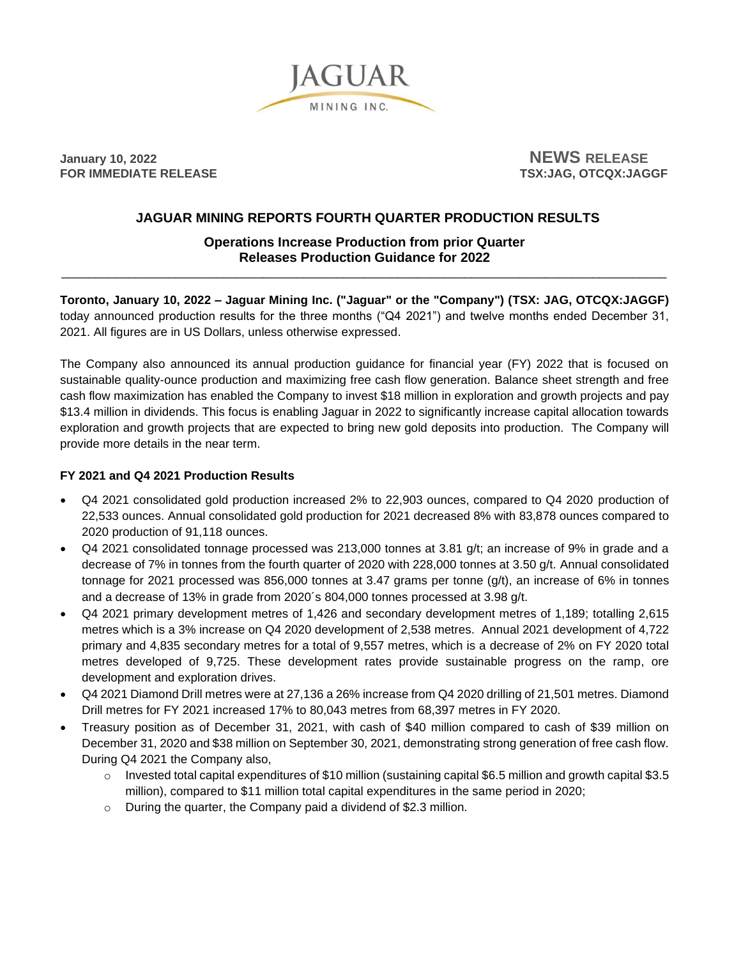

**January** 10, 2022 **NEWS** RELEASE<br> **FOR IMMEDIATE RELEASE** 

**FSX:JAG, OTCQX:JAGGF** 

# **JAGUAR MINING REPORTS FOURTH QUARTER PRODUCTION RESULTS**

## **Operations Increase Production from prior Quarter Releases Production Guidance for 2022** \_\_\_\_\_\_\_\_\_\_\_\_\_\_\_\_\_\_\_\_\_\_\_\_\_\_\_\_\_\_\_\_\_\_\_\_\_\_\_\_\_\_\_\_\_\_\_\_\_\_\_\_\_\_\_\_\_\_\_\_\_\_\_\_\_\_\_\_\_\_\_\_\_\_\_\_\_\_\_\_\_\_\_\_\_\_\_\_\_\_

**Toronto, January 10, 2022 – Jaguar Mining Inc. ("Jaguar" or the "Company") (TSX: JAG, OTCQX:JAGGF)**  today announced production results for the three months ("Q4 2021") and twelve months ended December 31, 2021. All figures are in US Dollars, unless otherwise expressed.

The Company also announced its annual production guidance for financial year (FY) 2022 that is focused on sustainable quality-ounce production and maximizing free cash flow generation. Balance sheet strength and free cash flow maximization has enabled the Company to invest \$18 million in exploration and growth projects and pay \$13.4 million in dividends. This focus is enabling Jaguar in 2022 to significantly increase capital allocation towards exploration and growth projects that are expected to bring new gold deposits into production. The Company will provide more details in the near term.

## **FY 2021 and Q4 2021 Production Results**

- Q4 2021 consolidated gold production increased 2% to 22,903 ounces, compared to Q4 2020 production of 22,533 ounces. Annual consolidated gold production for 2021 decreased 8% with 83,878 ounces compared to 2020 production of 91,118 ounces.
- Q4 2021 consolidated tonnage processed was 213,000 tonnes at 3.81 g/t; an increase of 9% in grade and a decrease of 7% in tonnes from the fourth quarter of 2020 with 228,000 tonnes at 3.50 g/t. Annual consolidated tonnage for 2021 processed was 856,000 tonnes at 3.47 grams per tonne (g/t), an increase of 6% in tonnes and a decrease of 13% in grade from 2020´s 804,000 tonnes processed at 3.98 g/t.
- Q4 2021 primary development metres of 1,426 and secondary development metres of 1,189; totalling 2,615 metres which is a 3% increase on Q4 2020 development of 2,538 metres. Annual 2021 development of 4,722 primary and 4,835 secondary metres for a total of 9,557 metres, which is a decrease of 2% on FY 2020 total metres developed of 9,725. These development rates provide sustainable progress on the ramp, ore development and exploration drives.
- Q4 2021 Diamond Drill metres were at 27,136 a 26% increase from Q4 2020 drilling of 21,501 metres. Diamond Drill metres for FY 2021 increased 17% to 80,043 metres from 68,397 metres in FY 2020.
- Treasury position as of December 31, 2021, with cash of \$40 million compared to cash of \$39 million on December 31, 2020 and \$38 million on September 30, 2021, demonstrating strong generation of free cash flow. During Q4 2021 the Company also,
	- $\circ$  Invested total capital expenditures of \$10 million (sustaining capital \$6.5 million and growth capital \$3.5 million), compared to \$11 million total capital expenditures in the same period in 2020;
	- o During the quarter, the Company paid a dividend of \$2.3 million.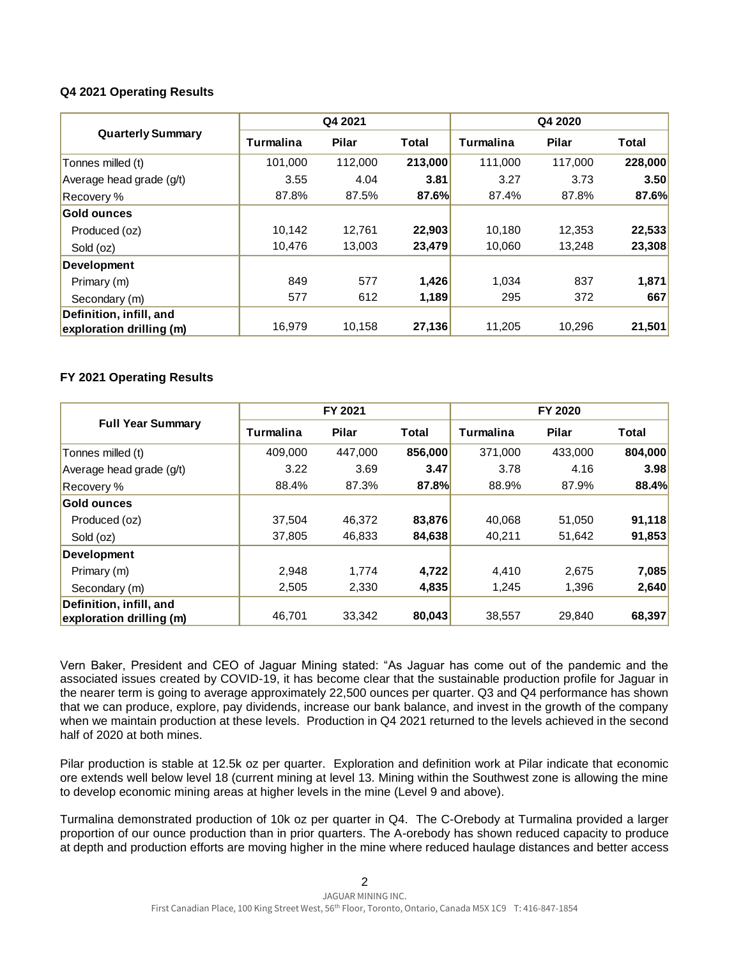### **Q4 2021 Operating Results**

| <b>Quarterly Summary</b> | Q4 2021   |              |         | Q4 2020   |         |         |
|--------------------------|-----------|--------------|---------|-----------|---------|---------|
|                          | Turmalina | <b>Pilar</b> | Total   | Turmalina | Pilar   | Total   |
| Tonnes milled (t)        | 101,000   | 112,000      | 213,000 | 111,000   | 117,000 | 228,000 |
| Average head grade (g/t) | 3.55      | 4.04         | 3.81    | 3.27      | 3.73    | 3.50    |
| Recovery %               | 87.8%     | 87.5%        | 87.6%   | 87.4%     | 87.8%   | 87.6%   |
| Gold ounces              |           |              |         |           |         |         |
| Produced (oz)            | 10,142    | 12.761       | 22,903  | 10.180    | 12,353  | 22,533  |
| Sold (oz)                | 10,476    | 13.003       | 23,479  | 10.060    | 13.248  | 23,308  |
| <b>Development</b>       |           |              |         |           |         |         |
| Primary (m)              | 849       | 577          | 1,426   | 1.034     | 837     | 1,871   |
| Secondary (m)            | 577       | 612          | 1,189   | 295       | 372     | 667     |
| Definition, infill, and  |           |              |         |           |         |         |
| exploration drilling (m) | 16,979    | 10.158       | 27,136  | 11,205    | 10,296  | 21,501  |

## **FY 2021 Operating Results**

| <b>Full Year Summary</b> |           | FY 2021      |              |           | FY 2020      |         |  |
|--------------------------|-----------|--------------|--------------|-----------|--------------|---------|--|
|                          | Turmalina | <b>Pilar</b> | <b>Total</b> | Turmalina | <b>Pilar</b> | Total   |  |
| Tonnes milled (t)        | 409,000   | 447,000      | 856,000      | 371,000   | 433,000      | 804,000 |  |
| Average head grade (g/t) | 3.22      | 3.69         | 3.47         | 3.78      | 4.16         | 3.98    |  |
| Recovery %               | 88.4%     | 87.3%        | 87.8%        | 88.9%     | 87.9%        | 88.4%   |  |
| Gold ounces              |           |              |              |           |              |         |  |
| Produced (oz)            | 37.504    | 46.372       | 83,876       | 40,068    | 51,050       | 91,118  |  |
| Sold (oz)                | 37,805    | 46,833       | 84,638       | 40,211    | 51,642       | 91,853  |  |
| Development              |           |              |              |           |              |         |  |
| Primary (m)              | 2.948     | 1.774        | 4,722        | 4.410     | 2.675        | 7,085   |  |
| Secondary (m)            | 2,505     | 2,330        | 4,835        | 1,245     | 1,396        | 2,640   |  |
| Definition, infill, and  |           |              |              |           |              |         |  |
| exploration drilling (m) | 46.701    | 33,342       | 80,043       | 38,557    | 29,840       | 68,397  |  |

Vern Baker, President and CEO of Jaguar Mining stated: "As Jaguar has come out of the pandemic and the associated issues created by COVID-19, it has become clear that the sustainable production profile for Jaguar in the nearer term is going to average approximately 22,500 ounces per quarter. Q3 and Q4 performance has shown that we can produce, explore, pay dividends, increase our bank balance, and invest in the growth of the company when we maintain production at these levels. Production in Q4 2021 returned to the levels achieved in the second half of 2020 at both mines.

Pilar production is stable at 12.5k oz per quarter. Exploration and definition work at Pilar indicate that economic ore extends well below level 18 (current mining at level 13. Mining within the Southwest zone is allowing the mine to develop economic mining areas at higher levels in the mine (Level 9 and above).

Turmalina demonstrated production of 10k oz per quarter in Q4. The C-Orebody at Turmalina provided a larger proportion of our ounce production than in prior quarters. The A-orebody has shown reduced capacity to produce at depth and production efforts are moving higher in the mine where reduced haulage distances and better access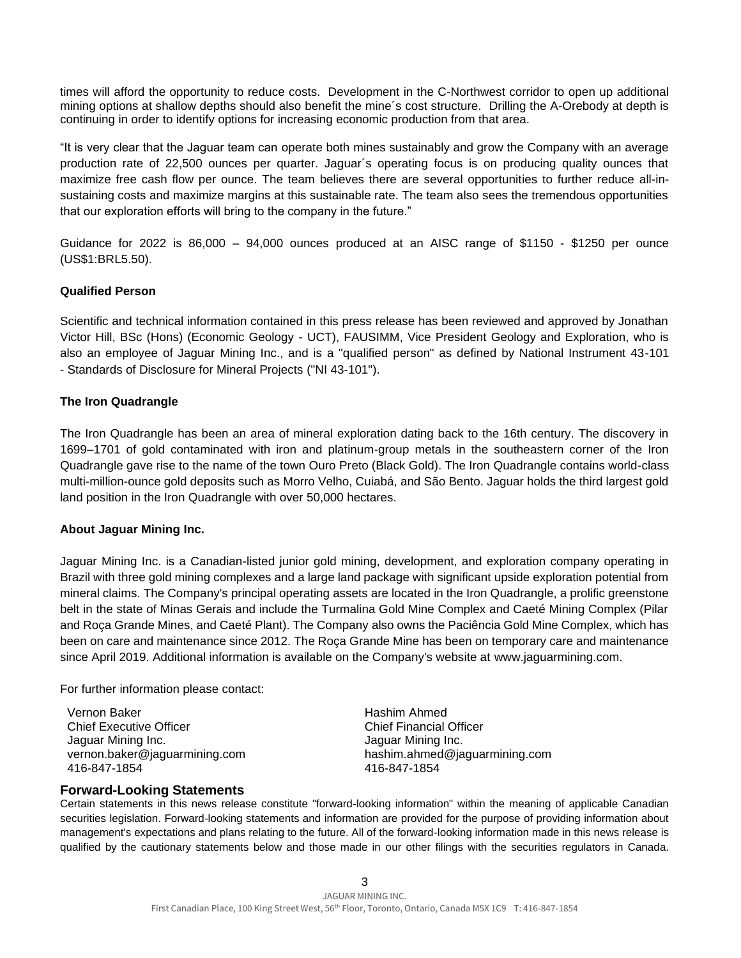times will afford the opportunity to reduce costs. Development in the C-Northwest corridor to open up additional mining options at shallow depths should also benefit the mine´s cost structure. Drilling the A-Orebody at depth is continuing in order to identify options for increasing economic production from that area.

"It is very clear that the Jaguar team can operate both mines sustainably and grow the Company with an average production rate of 22,500 ounces per quarter. Jaguar´s operating focus is on producing quality ounces that maximize free cash flow per ounce. The team believes there are several opportunities to further reduce all-insustaining costs and maximize margins at this sustainable rate. The team also sees the tremendous opportunities that our exploration efforts will bring to the company in the future."

Guidance for 2022 is 86,000 – 94,000 ounces produced at an AISC range of \$1150 - \$1250 per ounce (US\$1:BRL5.50).

### **Qualified Person**

Scientific and technical information contained in this press release has been reviewed and approved by Jonathan Victor Hill, BSc (Hons) (Economic Geology - UCT), FAUSIMM, Vice President Geology and Exploration, who is also an employee of Jaguar Mining Inc., and is a "qualified person" as defined by National Instrument 43-101 - Standards of Disclosure for Mineral Projects ("NI 43-101").

### **The Iron Quadrangle**

The Iron Quadrangle has been an area of mineral exploration dating back to the 16th century. The discovery in 1699–1701 of gold contaminated with iron and platinum-group metals in the southeastern corner of the Iron Quadrangle gave rise to the name of the town Ouro Preto (Black Gold). The Iron Quadrangle contains world-class multi-million-ounce gold deposits such as Morro Velho, Cuiabá, and São Bento. Jaguar holds the third largest gold land position in the Iron Quadrangle with over 50,000 hectares.

#### **About Jaguar Mining Inc.**

Jaguar Mining Inc. is a Canadian-listed junior gold mining, development, and exploration company operating in Brazil with three gold mining complexes and a large land package with significant upside exploration potential from mineral claims. The Company's principal operating assets are located in the Iron Quadrangle, a prolific greenstone belt in the state of Minas Gerais and include the Turmalina Gold Mine Complex and Caeté Mining Complex (Pilar and Roça Grande Mines, and Caeté Plant). The Company also owns the Paciência Gold Mine Complex, which has been on care and maintenance since 2012. The Roça Grande Mine has been on temporary care and maintenance since April 2019. Additional information is available on the Company's website at www.jaguarmining.com.

### For further information please contact:

Vernon Baker Chief Executive Officer Jaguar Mining Inc. vernon.baker@jaguarmining.com 416-847-1854

Hashim Ahmed Chief Financial Officer Jaguar Mining Inc. hashim.ahmed@jaguarmining.com 416-847-1854

### **Forward-Looking Statements**

Certain statements in this news release constitute "forward-looking information" within the meaning of applicable Canadian securities legislation. Forward-looking statements and information are provided for the purpose of providing information about management's expectations and plans relating to the future. All of the forward-looking information made in this news release is qualified by the cautionary statements below and those made in our other filings with the securities regulators in Canada.